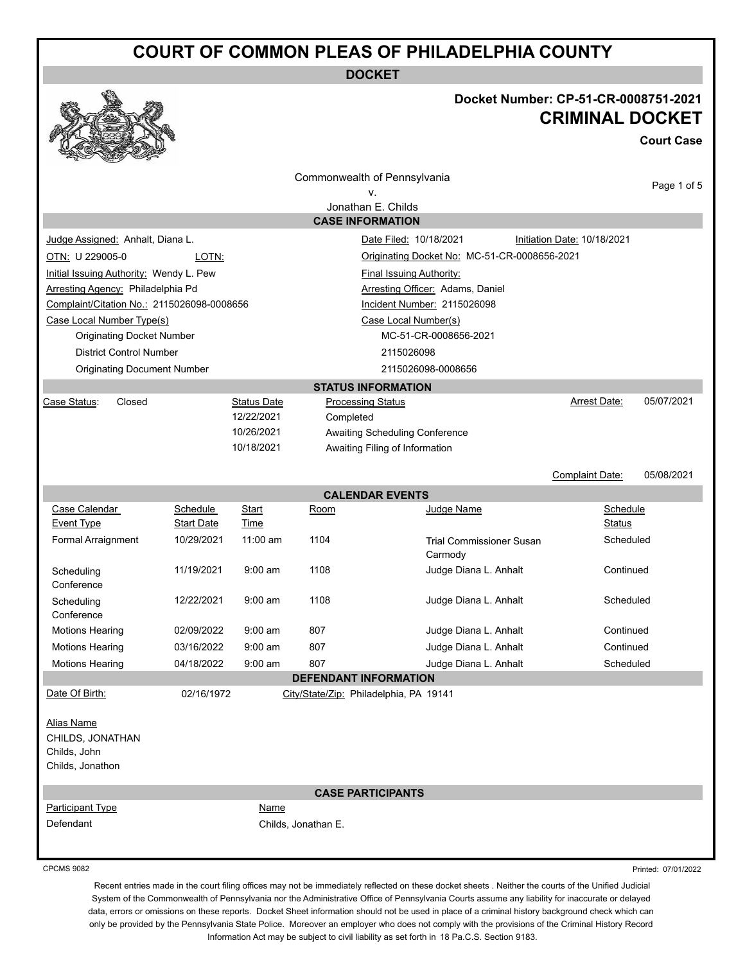# **COURT OF COMMON PLEAS OF PHILADELPHIA COUNTY**

**DOCKET**

## **Docket Number: CP-51-CR-0008751-2021 CRIMINAL DOCKET**

**Court Case**

|                                                                           |                   |                    |                                | Commonwealth of Pennsylvania               |                             | Page 1 of 5         |
|---------------------------------------------------------------------------|-------------------|--------------------|--------------------------------|--------------------------------------------|-----------------------------|---------------------|
| ٧.<br>Jonathan E. Childs                                                  |                   |                    |                                |                                            |                             |                     |
|                                                                           |                   |                    |                                | <b>CASE INFORMATION</b>                    |                             |                     |
| Judge Assigned: Anhalt, Diana L.                                          |                   |                    |                                | Date Filed: 10/18/2021                     | Initiation Date: 10/18/2021 |                     |
| OTN: U 229005-0<br>LOTN:<br>Originating Docket No: MC-51-CR-0008656-2021  |                   |                    |                                |                                            |                             |                     |
| Initial Issuing Authority: Wendy L. Pew                                   |                   |                    |                                | <b>Final Issuing Authority:</b>            |                             |                     |
| Arresting Agency: Philadelphia Pd                                         |                   |                    |                                | Arresting Officer: Adams, Daniel           |                             |                     |
| Complaint/Citation No.: 2115026098-0008656                                |                   |                    |                                | Incident Number: 2115026098                |                             |                     |
| Case Local Number Type(s)                                                 |                   |                    |                                | Case Local Number(s)                       |                             |                     |
| <b>Originating Docket Number</b>                                          |                   |                    |                                | MC-51-CR-0008656-2021                      |                             |                     |
| <b>District Control Number</b>                                            |                   |                    |                                | 2115026098                                 |                             |                     |
| <b>Originating Document Number</b>                                        |                   |                    |                                | 2115026098-0008656                         |                             |                     |
|                                                                           |                   |                    |                                | <b>STATUS INFORMATION</b>                  |                             |                     |
| Closed<br>Case Status:                                                    |                   | <b>Status Date</b> |                                | <b>Processing Status</b>                   | Arrest Date:                | 05/07/2021          |
|                                                                           |                   | 12/22/2021         | Completed                      |                                            |                             |                     |
|                                                                           |                   | 10/26/2021         |                                | Awaiting Scheduling Conference             |                             |                     |
|                                                                           |                   | 10/18/2021         | Awaiting Filing of Information |                                            |                             |                     |
|                                                                           |                   |                    |                                |                                            | Complaint Date:             | 05/08/2021          |
|                                                                           |                   |                    |                                | <b>CALENDAR EVENTS</b>                     |                             |                     |
| Case Calendar                                                             | Schedule          | Start              | Room                           | Judge Name                                 | Schedule                    |                     |
| <b>Event Type</b>                                                         | <b>Start Date</b> | Time               |                                |                                            | <b>Status</b>               |                     |
| Formal Arraignment                                                        | 10/29/2021        | $11:00$ am         | 1104                           | <b>Trial Commissioner Susan</b><br>Carmody | Scheduled                   |                     |
| Scheduling<br>Conference                                                  | 11/19/2021        | $9:00$ am          | 1108                           | Judge Diana L. Anhalt                      | Continued                   |                     |
| Scheduling<br>Conference                                                  | 12/22/2021        | $9:00$ am          | 1108                           | Judge Diana L. Anhalt                      | Scheduled                   |                     |
| <b>Motions Hearing</b>                                                    | 02/09/2022        | $9:00$ am          | 807                            | Judge Diana L. Anhalt                      | Continued                   |                     |
| <b>Motions Hearing</b>                                                    | 03/16/2022        | $9:00$ am          | 807                            | Judge Diana L. Anhalt                      | Continued                   |                     |
| <b>Motions Hearing</b>                                                    | 04/18/2022        | $9:00$ am          | 807                            | Judge Diana L. Anhalt                      | Scheduled                   |                     |
|                                                                           |                   |                    | <b>DEFENDANT INFORMATION</b>   |                                            |                             |                     |
| Date Of Birth:                                                            | 02/16/1972        |                    |                                | City/State/Zip: Philadelphia, PA 19141     |                             |                     |
| <b>Alias Name</b><br>CHILDS, JONATHAN<br>Childs, John<br>Childs, Jonathon |                   |                    |                                |                                            |                             |                     |
|                                                                           |                   |                    |                                | <b>CASE PARTICIPANTS</b>                   |                             |                     |
| Participant Type                                                          |                   | <b>Name</b>        |                                |                                            |                             |                     |
| Defendant                                                                 |                   |                    | Childs, Jonathan E.            |                                            |                             |                     |
| <b>CPCMS 9082</b>                                                         |                   |                    |                                |                                            |                             | Printed: 07/01/2022 |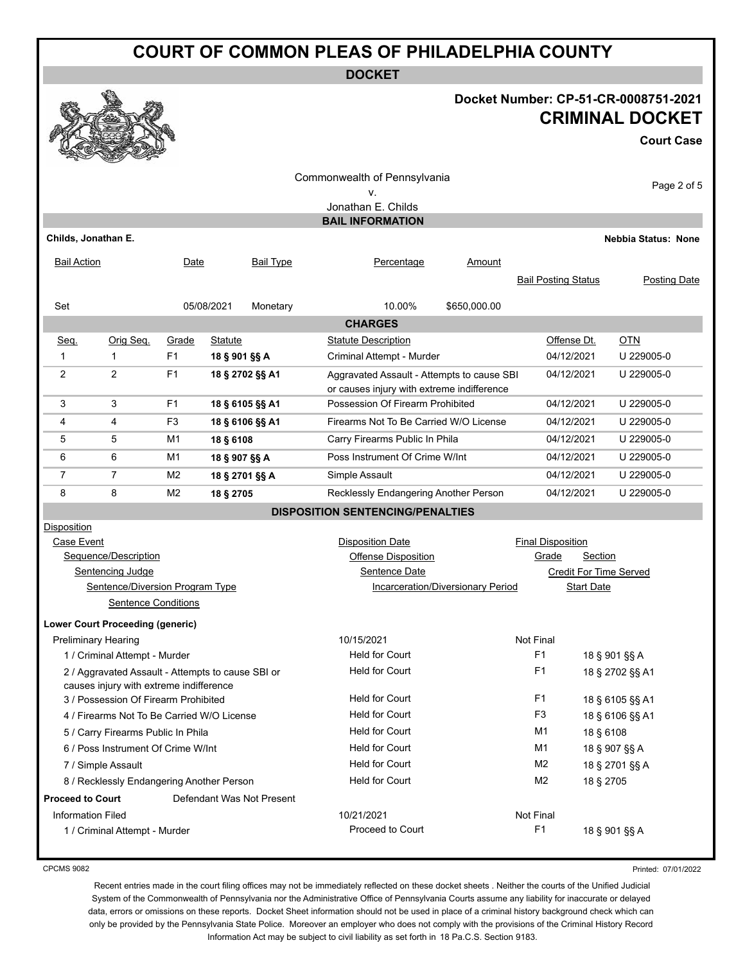# **COURT OF COMMON PLEAS OF PHILADELPHIA COUNTY**

**DOCKET**

### **Docket Number: CP-51-CR-0008751-2021 CRIMINAL DOCKET**

**Court Case**

|                                                                 |                                         |                |                                          |                           | Commonwealth of Pennsylvania                                  |                                                   |                                  |            |                            |
|-----------------------------------------------------------------|-----------------------------------------|----------------|------------------------------------------|---------------------------|---------------------------------------------------------------|---------------------------------------------------|----------------------------------|------------|----------------------------|
|                                                                 |                                         |                |                                          |                           | ٧.                                                            |                                                   |                                  |            | Page 2 of 5                |
|                                                                 |                                         |                |                                          |                           | Jonathan E. Childs                                            |                                                   |                                  |            |                            |
|                                                                 |                                         |                |                                          |                           | <b>BAIL INFORMATION</b>                                       |                                                   |                                  |            |                            |
| Childs, Jonathan E.                                             |                                         |                |                                          |                           |                                                               |                                                   |                                  |            | <b>Nebbia Status: None</b> |
| <b>Bail Action</b>                                              |                                         | Date           |                                          | <b>Bail Type</b>          | Percentage                                                    | Amount                                            |                                  |            |                            |
|                                                                 |                                         |                |                                          |                           |                                                               |                                                   | <b>Bail Posting Status</b>       |            | <b>Posting Date</b>        |
| Set                                                             |                                         |                | 05/08/2021                               | Monetary                  | 10.00%                                                        | \$650,000.00                                      |                                  |            |                            |
|                                                                 |                                         |                |                                          |                           | <b>CHARGES</b>                                                |                                                   |                                  |            |                            |
| Seq.                                                            | Orig Seq.                               | Grade          | <b>Statute</b>                           |                           | <b>Statute Description</b>                                    |                                                   | Offense Dt.                      |            | <b>OTN</b>                 |
| $\mathbf{1}$                                                    | $\mathbf{1}$                            | F <sub>1</sub> | 18 § 901 §§ A                            |                           | Criminal Attempt - Murder                                     |                                                   | 04/12/2021                       |            | U 229005-0                 |
| 2                                                               | $\overline{2}$                          | F1             |                                          | 18 § 2702 §§ A1           | Aggravated Assault - Attempts to cause SBI                    |                                                   | 04/12/2021                       |            | U 229005-0                 |
|                                                                 |                                         |                |                                          |                           | or causes injury with extreme indifference                    |                                                   |                                  |            |                            |
| 3                                                               | 3                                       | F <sub>1</sub> |                                          | 18 § 6105 §§ A1           |                                                               | Possession Of Firearm Prohibited                  |                                  |            | U 229005-0                 |
| 4                                                               | 4                                       | F <sub>3</sub> |                                          | 18 § 6106 §§ A1           | Firearms Not To Be Carried W/O License                        | 04/12/2021                                        |                                  | U 229005-0 |                            |
| 5                                                               | 5                                       | M1             | 18 § 6108                                |                           | Carry Firearms Public In Phila                                | 04/12/2021                                        |                                  | U 229005-0 |                            |
| 6                                                               | 6                                       | M1             | 18 § 907 §§ A                            |                           | Poss Instrument Of Crime W/Int                                | 04/12/2021                                        |                                  | U 229005-0 |                            |
| $\overline{7}$                                                  | $\overline{7}$                          | M2             | 18 § 2701 §§ A                           |                           | Simple Assault                                                | 04/12/2021                                        |                                  | U 229005-0 |                            |
| 8                                                               | 8                                       | M <sub>2</sub> | 18 § 2705                                |                           |                                                               | Recklessly Endangering Another Person             |                                  |            | U 229005-0                 |
|                                                                 |                                         |                |                                          |                           | <b>DISPOSITION SENTENCING/PENALTIES</b>                       |                                                   |                                  |            |                            |
| Disposition                                                     |                                         |                |                                          |                           |                                                               |                                                   |                                  |            |                            |
| Case Event                                                      |                                         |                |                                          |                           | <b>Disposition Date</b>                                       |                                                   | <b>Final Disposition</b>         |            |                            |
|                                                                 | Sequence/Description                    |                |                                          |                           | <b>Offense Disposition</b><br>Sentence Date                   | Grade<br>Section<br><b>Credit For Time Served</b> |                                  |            |                            |
| Sentencing Judge<br>Sentence/Diversion Program Type             |                                         |                | <b>Incarceration/Diversionary Period</b> |                           | <b>Start Date</b>                                             |                                                   |                                  |            |                            |
| <b>Sentence Conditions</b>                                      |                                         |                |                                          |                           |                                                               |                                                   |                                  |            |                            |
|                                                                 | <b>Lower Court Proceeding (generic)</b> |                |                                          |                           |                                                               |                                                   |                                  |            |                            |
|                                                                 |                                         |                |                                          |                           | 10/15/2021                                                    |                                                   | Not Final                        |            |                            |
| <b>Preliminary Hearing</b><br>1 / Criminal Attempt - Murder     |                                         |                | <b>Held for Court</b>                    |                           | F1<br>18 § 901 §§ A                                           |                                                   |                                  |            |                            |
| 2 / Aggravated Assault - Attempts to cause SBI or               |                                         |                | <b>Held for Court</b>                    |                           | F1<br>18 § 2702 §§ A1                                         |                                                   |                                  |            |                            |
|                                                                 | causes injury with extreme indifference |                |                                          |                           |                                                               |                                                   |                                  |            |                            |
| 3 / Possession Of Firearm Prohibited                            |                                         |                | Held for Court                           |                           | F <sub>1</sub>                                                |                                                   | 18 § 6105 §§ A1                  |            |                            |
| 4 / Firearms Not To Be Carried W/O License                      |                                         |                |                                          |                           | <b>Held for Court</b>                                         |                                                   | F <sub>3</sub>                   |            | 18 § 6106 §§ A1            |
| 5 / Carry Firearms Public In Phila                              |                                         |                |                                          |                           | <b>Held for Court</b>                                         |                                                   | M <sub>1</sub><br>M <sub>1</sub> | 18 § 6108  |                            |
| 6 / Poss Instrument Of Crime W/Int                              |                                         |                |                                          |                           |                                                               | <b>Held for Court</b>                             |                                  |            | 18 § 907 §§ A              |
| 7 / Simple Assault<br>8 / Recklessly Endangering Another Person |                                         |                | <b>Held for Court</b><br>M <sub>2</sub>  |                           |                                                               |                                                   | 18 § 2701 §§ A                   |            |                            |
|                                                                 |                                         |                |                                          |                           | <b>Held for Court</b>                                         |                                                   | M <sub>2</sub>                   | 18 § 2705  |                            |
| <b>Proceed to Court</b>                                         |                                         |                |                                          | Defendant Was Not Present |                                                               |                                                   |                                  |            |                            |
| <b>Information Filed</b><br>1 / Criminal Attempt - Murder       |                                         |                |                                          |                           | Not Final<br>10/21/2021<br>F <sub>1</sub><br>Proceed to Court |                                                   |                                  |            | 18 § 901 §§ A              |
|                                                                 |                                         |                |                                          |                           |                                                               |                                                   |                                  |            |                            |

CPCMS 9082

Printed: 07/01/2022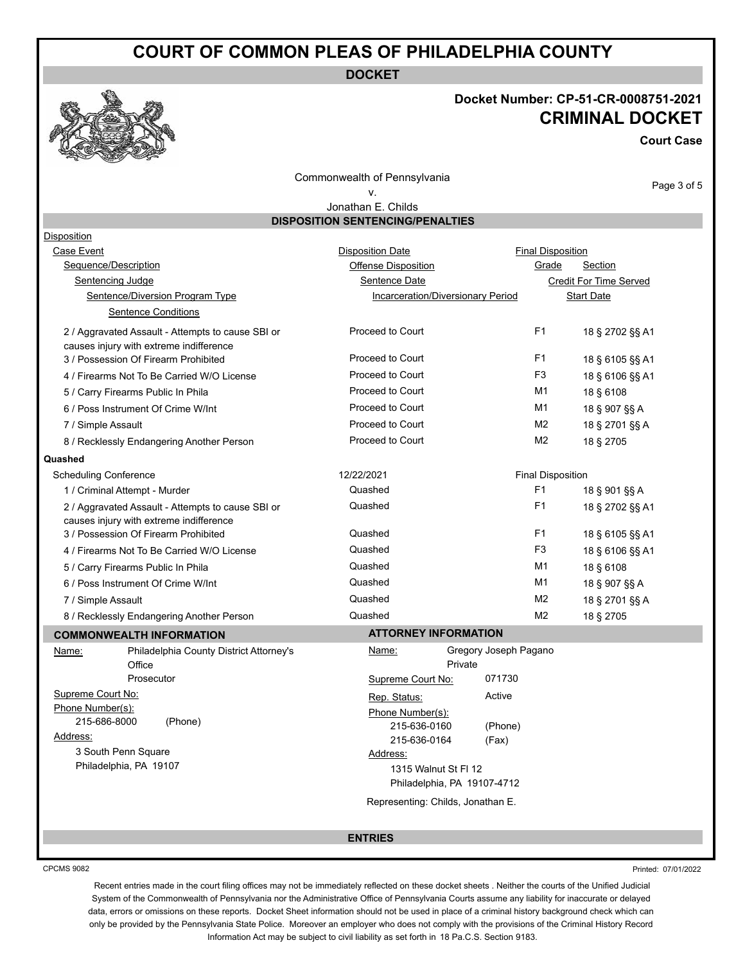## **COURT OF COMMON PLEAS OF PHILADELPHIA COUNTY**

**DOCKET**

## **Docket Number: CP-51-CR-0008751-2021 CRIMINAL DOCKET**

**Court Case**

Page 3 of 5

Commonwealth of Pennsylvania

#### v. Jonathan E. Childs

**DISPOSITION SENTENCING/PENALTIES**

| Disposition                                                                                  |                                                     |                |                          |  |  |
|----------------------------------------------------------------------------------------------|-----------------------------------------------------|----------------|--------------------------|--|--|
| Case Event                                                                                   | <b>Disposition Date</b>                             |                | <b>Final Disposition</b> |  |  |
| Sequence/Description                                                                         | Offense Disposition                                 | Grade          | Section                  |  |  |
| <b>Sentencing Judge</b>                                                                      | Sentence Date                                       |                | Credit For Time Served   |  |  |
| Sentence/Diversion Program Type                                                              | Incarceration/Diversionary Period                   |                | <b>Start Date</b>        |  |  |
| <b>Sentence Conditions</b>                                                                   |                                                     |                |                          |  |  |
| 2 / Aggravated Assault - Attempts to cause SBI or                                            | Proceed to Court                                    | F1             | 18 § 2702 §§ A1          |  |  |
| causes injury with extreme indifference                                                      |                                                     |                |                          |  |  |
| 3 / Possession Of Firearm Prohibited                                                         | Proceed to Court                                    | F <sub>1</sub> | 18 § 6105 §§ A1          |  |  |
| 4 / Firearms Not To Be Carried W/O License                                                   | <b>Proceed to Court</b>                             | F <sub>3</sub> | 18 § 6106 §§ A1          |  |  |
| 5 / Carry Firearms Public In Phila                                                           | Proceed to Court                                    | M1             | 18 § 6108                |  |  |
| 6 / Poss Instrument Of Crime W/Int                                                           | Proceed to Court                                    | M1             | 18 § 907 §§ A            |  |  |
| 7 / Simple Assault                                                                           | Proceed to Court                                    | M <sub>2</sub> | 18 § 2701 §§ A           |  |  |
| 8 / Recklessly Endangering Another Person                                                    | Proceed to Court                                    | M <sub>2</sub> | 18 § 2705                |  |  |
| Quashed                                                                                      |                                                     |                |                          |  |  |
| <b>Scheduling Conference</b>                                                                 | 12/22/2021                                          |                | <b>Final Disposition</b> |  |  |
| 1 / Criminal Attempt - Murder                                                                | Quashed                                             | F1             | 18 § 901 §§ A            |  |  |
| 2 / Aggravated Assault - Attempts to cause SBI or<br>causes injury with extreme indifference | Quashed                                             | F1             | 18 § 2702 §§ A1          |  |  |
| 3 / Possession Of Firearm Prohibited                                                         | Quashed                                             | F <sub>1</sub> | 18 § 6105 §§ A1          |  |  |
| 4 / Firearms Not To Be Carried W/O License                                                   | Quashed                                             | F <sub>3</sub> | 18 § 6106 §§ A1          |  |  |
| 5 / Carry Firearms Public In Phila                                                           | Quashed                                             | M1             | 18 § 6108                |  |  |
| 6 / Poss Instrument Of Crime W/Int                                                           | Quashed                                             | M1             | 18 § 907 §§ A            |  |  |
| 7 / Simple Assault                                                                           | Quashed                                             | M <sub>2</sub> | 18 § 2701 §§ A           |  |  |
| 8 / Recklessly Endangering Another Person                                                    | Quashed                                             | M2             | 18 § 2705                |  |  |
| <b>COMMONWEALTH INFORMATION</b>                                                              | <b>ATTORNEY INFORMATION</b>                         |                |                          |  |  |
| Philadelphia County District Attorney's<br>Name:                                             | Gregory Joseph Pagano<br>Name:                      |                |                          |  |  |
| Office                                                                                       | Private                                             |                |                          |  |  |
| Prosecutor                                                                                   | 071730<br>Supreme Court No:                         |                |                          |  |  |
| Supreme Court No:                                                                            | Active<br>Rep. Status:                              |                |                          |  |  |
| Phone Number(s):                                                                             | Phone Number(s):                                    |                |                          |  |  |
| 215-686-8000<br>(Phone)                                                                      | 215-636-0160<br>(Phone)                             |                |                          |  |  |
| Address:<br>3 South Penn Square                                                              | 215-636-0164<br>(Fax)                               |                |                          |  |  |
| Philadelphia, PA 19107                                                                       | Address:                                            |                |                          |  |  |
|                                                                                              | 1315 Walnut St FI 12<br>Philadelphia, PA 19107-4712 |                |                          |  |  |
|                                                                                              | Representing: Childs, Jonathan E.                   |                |                          |  |  |
|                                                                                              |                                                     |                |                          |  |  |
|                                                                                              | <b>ENTRIES</b>                                      |                |                          |  |  |
|                                                                                              |                                                     |                |                          |  |  |

CPCMS 9082

Printed: 07/01/2022

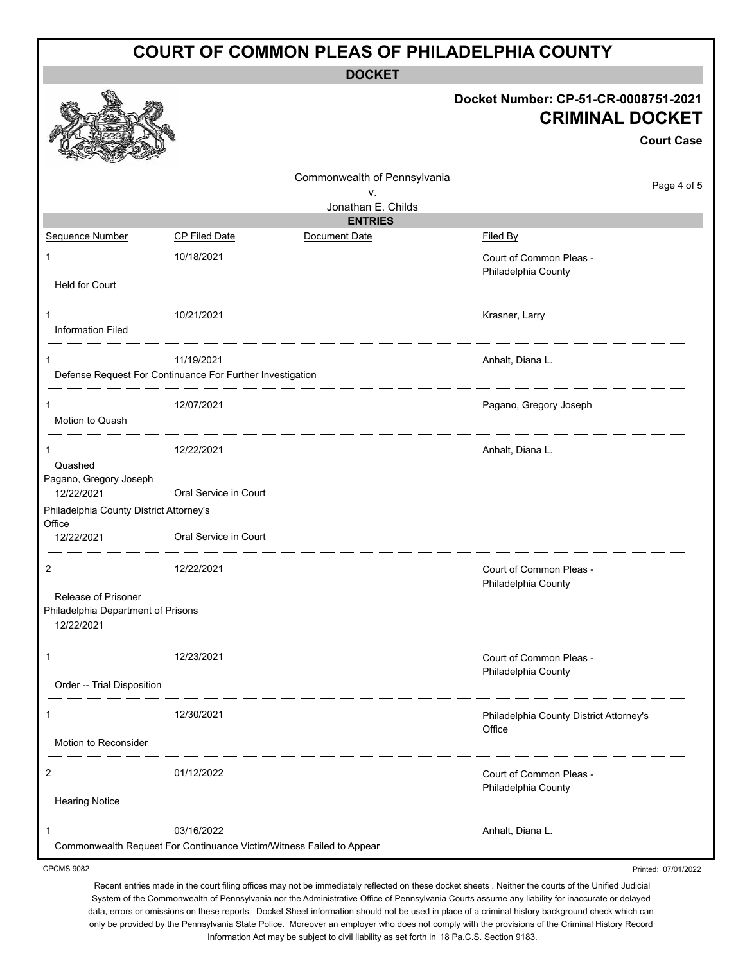| <b>COURT OF COMMON PLEAS OF PHILADELPHIA COUNTY</b>                     |                                                                                    |                                    |                                                                                     |  |  |  |
|-------------------------------------------------------------------------|------------------------------------------------------------------------------------|------------------------------------|-------------------------------------------------------------------------------------|--|--|--|
| <b>DOCKET</b>                                                           |                                                                                    |                                    |                                                                                     |  |  |  |
|                                                                         |                                                                                    |                                    | Docket Number: CP-51-CR-0008751-2021<br><b>CRIMINAL DOCKET</b><br><b>Court Case</b> |  |  |  |
|                                                                         |                                                                                    | Commonwealth of Pennsylvania<br>v. | Page 4 of 5                                                                         |  |  |  |
|                                                                         |                                                                                    | Jonathan E. Childs                 |                                                                                     |  |  |  |
|                                                                         |                                                                                    | <b>ENTRIES</b>                     |                                                                                     |  |  |  |
| Sequence Number                                                         | <b>CP Filed Date</b>                                                               | Document Date                      | <b>Filed By</b>                                                                     |  |  |  |
| 1<br><b>Held for Court</b>                                              | 10/18/2021                                                                         |                                    | Court of Common Pleas -<br>Philadelphia County                                      |  |  |  |
|                                                                         |                                                                                    |                                    |                                                                                     |  |  |  |
| 1<br><b>Information Filed</b>                                           | 10/21/2021                                                                         |                                    | Krasner, Larry                                                                      |  |  |  |
| 1                                                                       | 11/19/2021                                                                         |                                    | Anhalt, Diana L.                                                                    |  |  |  |
|                                                                         | Defense Request For Continuance For Further Investigation                          |                                    |                                                                                     |  |  |  |
| 1<br>Motion to Quash                                                    | 12/07/2021                                                                         |                                    | Pagano, Gregory Joseph                                                              |  |  |  |
| 1<br>Quashed                                                            | 12/22/2021                                                                         |                                    | Anhalt, Diana L.                                                                    |  |  |  |
| Pagano, Gregory Joseph<br>12/22/2021                                    | Oral Service in Court                                                              |                                    |                                                                                     |  |  |  |
| Philadelphia County District Attorney's<br>Office                       |                                                                                    |                                    |                                                                                     |  |  |  |
| 12/22/2021                                                              | Oral Service in Court                                                              |                                    |                                                                                     |  |  |  |
| 2                                                                       | 12/22/2021                                                                         |                                    | Court of Common Pleas -<br>Philadelphia County                                      |  |  |  |
| Release of Prisoner<br>Philadelphia Department of Prisons<br>12/22/2021 |                                                                                    |                                    |                                                                                     |  |  |  |
| 1                                                                       | 12/23/2021                                                                         |                                    | Court of Common Pleas -<br>Philadelphia County                                      |  |  |  |
| Order -- Trial Disposition                                              |                                                                                    |                                    |                                                                                     |  |  |  |
| 1<br>Motion to Reconsider                                               | 12/30/2021                                                                         |                                    | Philadelphia County District Attorney's<br>Office                                   |  |  |  |
|                                                                         |                                                                                    |                                    |                                                                                     |  |  |  |
| 2                                                                       | 01/12/2022                                                                         |                                    | Court of Common Pleas -<br>Philadelphia County                                      |  |  |  |
| <b>Hearing Notice</b>                                                   |                                                                                    |                                    |                                                                                     |  |  |  |
| 1                                                                       | 03/16/2022<br>Commonwealth Request For Continuance Victim/Witness Failed to Appear |                                    | Anhalt, Diana L.                                                                    |  |  |  |
| <b>CPCMS 9082</b>                                                       |                                                                                    |                                    | Printed: 07/01/2022                                                                 |  |  |  |